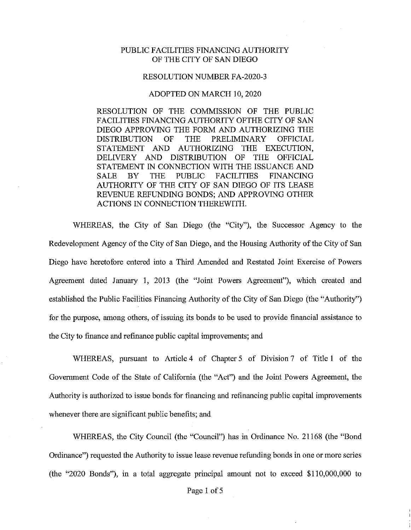## PUBLIC FACILITIES FINANCING AUTHORITY OF THE CITY OF SAN DIEGO

## RESOLUTION NUMBER FA-2020-3

## ADOPTED ON MARCH 10, 2020

RESOLUTION OF THE COMMISSION OF THE PUBLIC FACILITIES FINANCING AUTHORITY OFTHE CITY OF SAN DIEGO APPROVING THE FORM AND AUTHORIZING THE DISTRIBUTION OF THE PRELIMINARY OFFICIAL STATEMENT AND AUTHORIZING THE EXECUTION, DELIVERY AND DISTRIBUTION OF THE OFFICIAL STATEMENT IN CONNECTION WITH THE ISSUANCE AND SALE BY THE PUBLIC FACILITIES FINANCING AUTHORITY OF THE CITY OF SAN DIEGO OF ITS LEASE REVENUE REFUNDING BONDS; AND APPROVING OTHER ACTIONS IN CONNECTION THEREWITH.

WHEREAS, the City of San Diego (the "City"), the Successor Agency to the Redevelopment Agency of the City of San Diego, and the Housing Authority of the City of San Diego have heretofore entered into a Third Amended and Restated Joint Exercise of Powers Agreement dated January 1, 2013 (the "Joint Powers Agreement"), which created and established the Public Facilities Financing Authority of the City of San Diego (the "Authority") for the purpose, among others, of issuing its bonds to be used to provide financial assistance to the City to finance and refinance public capital improvements; and

WHEREAS, pursuant to Article 4 of Chapter 5 of Division 7 of Title 1 of the Government Code of the State of California (the "Act") and the Joint Powers Agreement, the Authority is authorized to issue bonds for financing and refinancing public capital improvements whenever there are significant public benefits; and

WHEREAS, the City Council (the "Council") has in Ordinance No. 21168 (the "Bond Ordinance") requested the Authority to issue lease revenue refunding bonds in one or more series (the "2020 Bonds"), in a total aggregate principal amount not to exceed \$110,000,000 to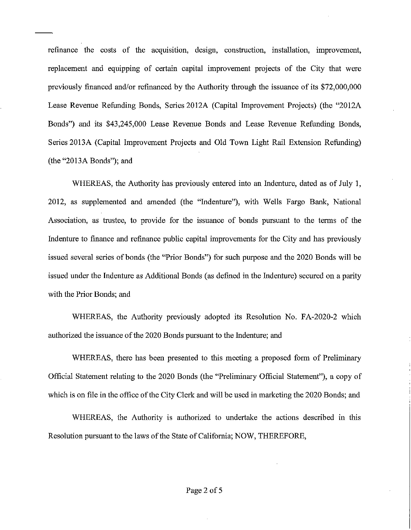refinance the costs of the acquisition, design, construction, installation, improvement, replacement and equipping of certain capital improvement projects of the City that were previously financed and/or refinanced by the Authority through the issuance of its \$72,000,000 Lease Revenue Refunding Bonds, Series 2012A (Capital Improvement Projects) (the "2012A Bonds") and its \$43,245,000 Lease Revenue Bonds and Lease Revenue Refimding Bonds, Series 2013A (Capital Improvement Projects and Old Town Light Rail Extension Refunding) (the "2013A Bonds"); and

WHEREAS, the Authority has previously entered into an Indenture, dated as of July 1, 2012, as supplemented and amended (the "Indenture"), with Wells Fargo Bank, National Association, as trustee, to provide for the issuance of bonds pursuant to the terms of the Indenture to finance and refinance public capital improvements for the City and has previously issued several series of bonds (the "Prior Bonds") for such purpose and the 2020 Bonds will be issued under the Indenture as Additional Bonds ( as defined in the Indenture) secured on a parity with the Prior Bonds; and

WHEREAS, the Authority previously adopted its Resolution No. FA-2020-2 which authorized the issuance of the 2020 Bonds pursuant to the Indenture; and

WHEREAS, there has been presented to this meeting a proposed form of Preliminary Official Statement relating to the 2020 Bonds (the "Preliminary Official Statement"), a copy of which is on file in the office of the City Clerk and will be used in marketing the 2020 Bonds; and

WHEREAS, the Authority is authorized to undertake the actions described in this Resolution pursuant to the laws of the State of California; NOW, THEREFORE,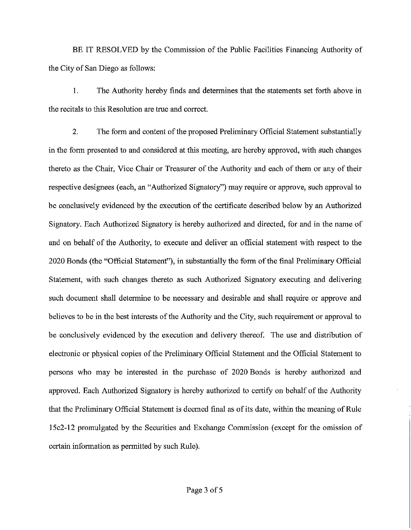BE IT RESOLVED by the Commission of the Public Facilities Financing Authority of the City of San Diego as follows:

I. The Authority hereby finds and determines that the statements set forth above in the recitals to this Resolution are true and correct.

2. The form and content of the proposed Preliminary Official Statement substantially in the form presented to and considered at this meeting, are hereby approved, with such changes thereto as the Chair, Vice Chair or Treasurer of the Authority and each of them or any of their respective designees (each, an "Authorized Signatory") may require or approve, such approval to be conclusively evidenced by the execution of the certificate described below by an Authorized Signatory. Each Authorized Signatory is hereby authorized and directed, for and in the name of and on behalf of the Authority, to execute and deliver an official statement with respect to the 2020 Bonds (the "Official Statement"), in substantially the form of the final Preliminary Official Statement, with such changes thereto as such Authorized Signatory executing and delivering such document shall determine to be necessary and desirable and shall require or approve and believes to be in the best interests of the Authority and the City, such requirement or approval to be conclusively evidenced by the execution and delivery thereof. The use and distribution of electronic or physical copies of the Preliminary Official Statement and the Official Statement to persons who may be interested in the purchase of 2020 Bonds is hereby authorized and approved. Each Authorized Signatory is hereby authorized to certify on behalf of the Authority that the Preliminary Official Statement is deemed final as of its date, within the meaning of Rule 15c2-12 promulgated by the Securities and Exchange Commission (except for the omission of certain information as permitted by such Rule).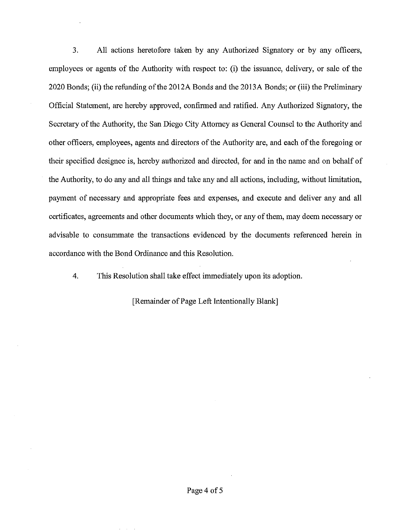3. All actions heretofore taken by any Authorized Signatory or by any officers, employees or agents of the Authority with respect to: (i) the issuance, delivery, or sale of the 2020 Bonds; (ii) the refunding of the 2012A Bonds and the 2013A Bonds; or (iii) the Preliminary Official Statement, are hereby approved, confirmed and ratified. Any Authorized Signatory, the Secretary of the Authority, the San Diego City Attorney as General Counsel to the Authority and other officers, employees, agents and directors of the Authority are, and each of the foregoing or their specified designee is, hereby authorized and directed, for and in the name and on behalf of the Authority, to do any and all things and take any and all actions, including, without limitation, payment of necessary and appropriate fees and expenses, and execute and deliver any and all certificates, agreements and other documents which they, or any of them, may deem necessary or advisable to consummate the transactions evidenced by the documents referenced herein in accordance with the Bond Ordinance and this Resolution.

4. This Resolution shall take effect immediately upon its adoption.

[Remainder of Page Left Intentionally Blank]